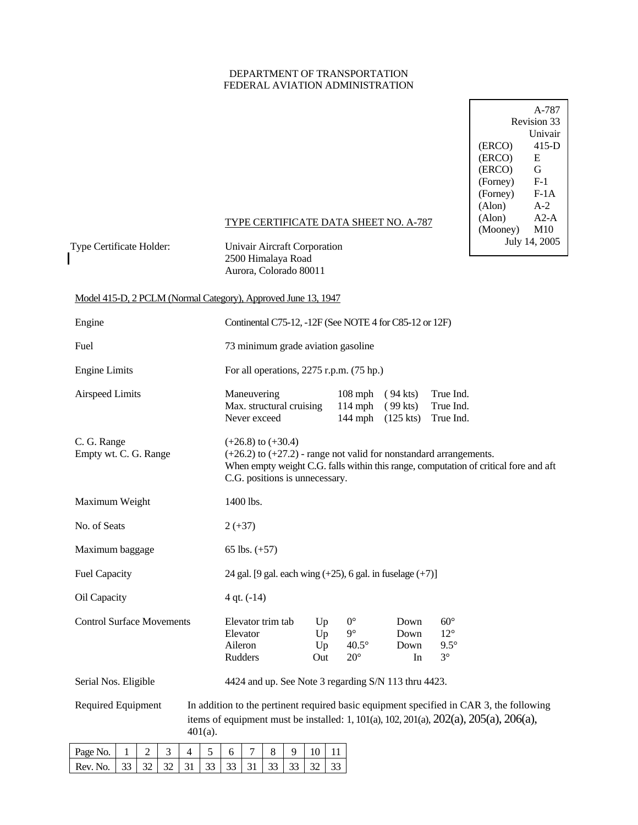### DEPARTMENT OF TRANSPORTATION FEDERAL AVIATION ADMINISTRATION

|          | A-787          |
|----------|----------------|
|          | Revision 33    |
|          | <b>Univair</b> |
| (ERCO)   | 415-D          |
| (ERCO)   | E              |
| (ERCO)   | G              |
| (Forney) | $F-1$          |
| (Forney) | $F-1A$         |
| (Alon)   | $A-2$          |
| (Alon)   | $A2-A$         |
| (Mooney) | M10            |
|          | July 14, 2005  |

### TYPE CERTIFICATE DATA SHEET NO. A-787

Type Certificate Holder: Univair Aircraft Corporation

 2500 Himalaya Road Aurora, Colorado 80011

### Model 415-D, 2 PCLM (Normal Category), Approved June 13, 1947

| Engine                                                                            | Continental C75-12, -12F (See NOTE 4 for C85-12 or 12F)                                                                                                                                                                          |
|-----------------------------------------------------------------------------------|----------------------------------------------------------------------------------------------------------------------------------------------------------------------------------------------------------------------------------|
| Fuel                                                                              | 73 minimum grade aviation gasoline                                                                                                                                                                                               |
| <b>Engine Limits</b>                                                              | For all operations, $2275$ r.p.m. $(75$ hp.)                                                                                                                                                                                     |
| <b>Airspeed Limits</b>                                                            | True Ind.<br>Maneuvering<br>$108$ mph<br>$(94$ kts)<br>Max. structural cruising<br>$114$ mph<br>$(99$ kts)<br>True Ind.<br>Never exceed<br>$144$ mph<br>True Ind.<br>$(125$ kts)                                                 |
| C. G. Range<br>Empty wt. C. G. Range                                              | $(+26.8)$ to $(+30.4)$<br>$(+26.2)$ to $(+27.2)$ - range not valid for nonstandard arrangements.<br>When empty weight C.G. falls within this range, computation of critical fore and aft<br>C.G. positions is unnecessary.       |
| Maximum Weight                                                                    | 1400 lbs.                                                                                                                                                                                                                        |
| No. of Seats                                                                      | $2 (+37)$                                                                                                                                                                                                                        |
| Maximum baggage                                                                   | 65 lbs. $(+57)$                                                                                                                                                                                                                  |
| <b>Fuel Capacity</b>                                                              | 24 gal. [9 gal. each wing $(+25)$ , 6 gal. in fuselage $(+7)$ ]                                                                                                                                                                  |
| Oil Capacity                                                                      | $4$ qt. $(-14)$                                                                                                                                                                                                                  |
| <b>Control Surface Movements</b>                                                  | $0^{\circ}$<br>$60^\circ$<br>Elevator trim tab<br>Down<br>Up<br>$9^\circ$<br>$12^{\circ}$<br>Elevator<br>Up<br>Down<br>Aileron<br>$40.5^\circ$<br>$9.5^\circ$<br>Up<br>Down<br>$3^\circ$<br>Rudders<br>$20^{\circ}$<br>Out<br>In |
| Serial Nos. Eligible                                                              | 4424 and up. See Note 3 regarding S/N 113 thru 4423.                                                                                                                                                                             |
| <b>Required Equipment</b>                                                         | In addition to the pertinent required basic equipment specified in CAR 3, the following<br>items of equipment must be installed: 1, 101(a), 102, 201(a), 202(a), 205(a), 206(a),<br>$401(a)$ .                                   |
| $\Omega$<br>$D_{0.00}$ $N_{\odot}$<br>$\blacksquare$<br>$\mathbf{r}$<br>$\Lambda$ | $\overline{7}$<br>$\circ$<br>$0 \mid 10 \mid 11$<br>$\leq$<br>$\epsilon$                                                                                                                                                         |

| Page No. | $1$   2   3   4   5   1. |  |  |  | 7 8 9 10 11 |  |
|----------|--------------------------|--|--|--|-------------|--|
|          |                          |  |  |  |             |  |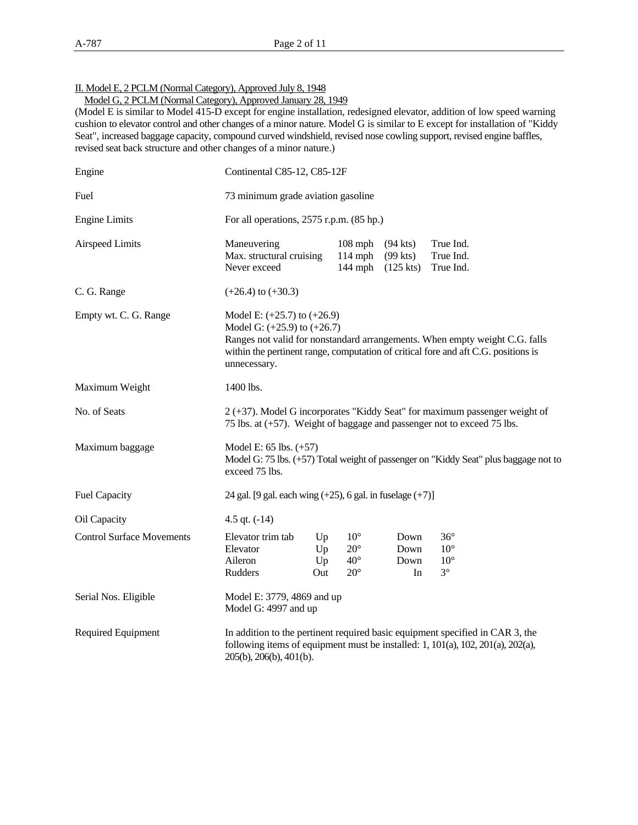II. Model E, 2 PCLM (Normal Category), Approved July 8, 1948

Model G, 2 PCLM (Normal Category), Approved January 28, 1949

(Model E is similar to Model 415-D except for engine installation, redesigned elevator, addition of low speed warning cushion to elevator control and other changes of a minor nature. Model G is similar to E except for installation of "Kiddy Seat", increased baggage capacity, compound curved windshield, revised nose cowling support, revised engine baffles, revised seat back structure and other changes of a minor nature.)

| Engine                           |                                                                                    | Continental C85-12, C85-12F        |                                                              |                                         |                                                                                                                                                                   |  |  |  |  |
|----------------------------------|------------------------------------------------------------------------------------|------------------------------------|--------------------------------------------------------------|-----------------------------------------|-------------------------------------------------------------------------------------------------------------------------------------------------------------------|--|--|--|--|
| Fuel                             |                                                                                    | 73 minimum grade aviation gasoline |                                                              |                                         |                                                                                                                                                                   |  |  |  |  |
| <b>Engine Limits</b>             | For all operations, $2575$ r.p.m. $(85$ hp.)                                       |                                    |                                                              |                                         |                                                                                                                                                                   |  |  |  |  |
| Airspeed Limits                  | Maneuvering<br>Max. structural cruising<br>Never exceed                            |                                    | $108$ mph<br>$114$ mph<br>$144$ mph                          | $(94$ kts)<br>$(99$ kts)<br>$(125$ kts) | True Ind.<br>True Ind.<br>True Ind.                                                                                                                               |  |  |  |  |
| C. G. Range                      | $(+26.4)$ to $(+30.3)$                                                             |                                    |                                                              |                                         |                                                                                                                                                                   |  |  |  |  |
| Empty wt. C. G. Range            | Model E: $(+25.7)$ to $(+26.9)$<br>Model G: $(+25.9)$ to $(+26.7)$<br>unnecessary. |                                    |                                                              |                                         | Ranges not valid for nonstandard arrangements. When empty weight C.G. falls<br>within the pertinent range, computation of critical fore and aft C.G. positions is |  |  |  |  |
| Maximum Weight                   | 1400 lbs.                                                                          |                                    |                                                              |                                         |                                                                                                                                                                   |  |  |  |  |
| No. of Seats                     |                                                                                    |                                    |                                                              |                                         | 2 (+37). Model G incorporates "Kiddy Seat" for maximum passenger weight of<br>75 lbs. at (+57). Weight of baggage and passenger not to exceed 75 lbs.             |  |  |  |  |
| Maximum baggage                  | Model E: $65$ lbs. $(+57)$<br>exceed 75 lbs.                                       |                                    |                                                              |                                         | Model G: 75 lbs. (+57) Total weight of passenger on "Kiddy Seat" plus baggage not to                                                                              |  |  |  |  |
| <b>Fuel Capacity</b>             | 24 gal. [9 gal. each wing $(+25)$ , 6 gal. in fuselage $(+7)$ ]                    |                                    |                                                              |                                         |                                                                                                                                                                   |  |  |  |  |
| Oil Capacity                     | 4.5 qt. $(-14)$                                                                    |                                    |                                                              |                                         |                                                                                                                                                                   |  |  |  |  |
| <b>Control Surface Movements</b> | Elevator trim tab<br>Elevator<br>Aileron<br>Rudders                                | Up<br>Up<br>Up<br>Out              | $10^{\circ}$<br>$20^{\circ}$<br>$40^{\circ}$<br>$20^{\circ}$ | Down<br>Down<br>Down<br>In              | $36^{\circ}$<br>$10^{\circ}$<br>$10^{\circ}$<br>$3^\circ$                                                                                                         |  |  |  |  |
| Serial Nos. Eligible             | Model E: 3779, 4869 and up<br>Model G: 4997 and up                                 |                                    |                                                              |                                         |                                                                                                                                                                   |  |  |  |  |
| Required Equipment               | 205(b), 206(b), 401(b).                                                            |                                    |                                                              |                                         | In addition to the pertinent required basic equipment specified in CAR 3, the<br>following items of equipment must be installed: 1, 101(a), 102, 201(a), 202(a),  |  |  |  |  |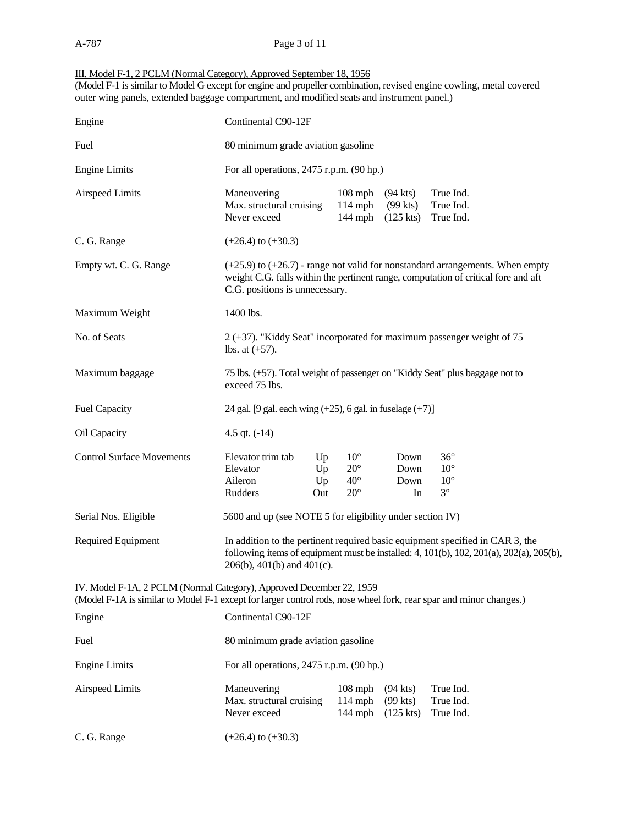### III. Model F-1, 2 PCLM (Normal Category), Approved September 18, 1956

(Model F-1 is similar to Model G except for engine and propeller combination, revised engine cowling, metal covered outer wing panels, extended baggage compartment, and modified seats and instrument panel.)

| Engine                                                                                                                                                                                     | Continental C90-12F                                                                            |                                                                          |                                                              |                                         |                                                                                                                                                                                         |  |  |  |
|--------------------------------------------------------------------------------------------------------------------------------------------------------------------------------------------|------------------------------------------------------------------------------------------------|--------------------------------------------------------------------------|--------------------------------------------------------------|-----------------------------------------|-----------------------------------------------------------------------------------------------------------------------------------------------------------------------------------------|--|--|--|
| Fuel                                                                                                                                                                                       |                                                                                                | 80 minimum grade aviation gasoline                                       |                                                              |                                         |                                                                                                                                                                                         |  |  |  |
| <b>Engine Limits</b>                                                                                                                                                                       | For all operations, 2475 r.p.m. (90 hp.)                                                       |                                                                          |                                                              |                                         |                                                                                                                                                                                         |  |  |  |
| <b>Airspeed Limits</b>                                                                                                                                                                     | Maneuvering<br>Max. structural cruising<br>Never exceed                                        |                                                                          | $108$ mph<br>$114$ mph<br>$144$ mph                          | $(94$ kts)<br>$(99$ kts)<br>$(125$ kts) | True Ind.<br>True Ind.<br>True Ind.                                                                                                                                                     |  |  |  |
| C. G. Range                                                                                                                                                                                | $(+26.4)$ to $(+30.3)$                                                                         |                                                                          |                                                              |                                         |                                                                                                                                                                                         |  |  |  |
| Empty wt. C. G. Range                                                                                                                                                                      | C.G. positions is unnecessary.                                                                 |                                                                          |                                                              |                                         | $(+25.9)$ to $(+26.7)$ - range not valid for nonstandard arrangements. When empty<br>weight C.G. falls within the pertinent range, computation of critical fore and aft                 |  |  |  |
| Maximum Weight                                                                                                                                                                             | 1400 lbs.                                                                                      |                                                                          |                                                              |                                         |                                                                                                                                                                                         |  |  |  |
| No. of Seats                                                                                                                                                                               | lbs. at $(+57)$ .                                                                              | $2 (+37)$ . "Kiddy Seat" incorporated for maximum passenger weight of 75 |                                                              |                                         |                                                                                                                                                                                         |  |  |  |
| Maximum baggage                                                                                                                                                                            | 75 lbs. (+57). Total weight of passenger on "Kiddy Seat" plus baggage not to<br>exceed 75 lbs. |                                                                          |                                                              |                                         |                                                                                                                                                                                         |  |  |  |
| <b>Fuel Capacity</b>                                                                                                                                                                       | 24 gal. [9 gal. each wing $(+25)$ , 6 gal. in fuselage $(+7)$ ]                                |                                                                          |                                                              |                                         |                                                                                                                                                                                         |  |  |  |
| Oil Capacity                                                                                                                                                                               | 4.5 qt. $(-14)$                                                                                |                                                                          |                                                              |                                         |                                                                                                                                                                                         |  |  |  |
| <b>Control Surface Movements</b>                                                                                                                                                           | Elevator trim tab<br>Elevator<br>Aileron<br>Rudders                                            | Up<br>Up<br>Up<br>Out                                                    | $10^{\circ}$<br>$20^{\circ}$<br>$40^{\circ}$<br>$20^{\circ}$ | Down<br>Down<br>Down<br>In              | $36^{\circ}$<br>$10^{\circ}$<br>$10^{\circ}$<br>$3^\circ$                                                                                                                               |  |  |  |
| Serial Nos. Eligible                                                                                                                                                                       | 5600 and up (see NOTE 5 for eligibility under section IV)                                      |                                                                          |                                                              |                                         |                                                                                                                                                                                         |  |  |  |
| Required Equipment                                                                                                                                                                         | $206(b)$ , $401(b)$ and $401(c)$ .                                                             |                                                                          |                                                              |                                         | In addition to the pertinent required basic equipment specified in CAR 3, the<br>following items of equipment must be installed: 4, $101(b)$ , $102$ , $201(a)$ , $202(a)$ , $205(b)$ , |  |  |  |
| IV. Model F-1A, 2 PCLM (Normal Category), Approved December 22, 1959<br>(Model F-1A is similar to Model F-1 except for larger control rods, nose wheel fork, rear spar and minor changes.) |                                                                                                |                                                                          |                                                              |                                         |                                                                                                                                                                                         |  |  |  |
| Engine                                                                                                                                                                                     | Continental C90-12F                                                                            |                                                                          |                                                              |                                         |                                                                                                                                                                                         |  |  |  |
| Fuel                                                                                                                                                                                       | 80 minimum grade aviation gasoline                                                             |                                                                          |                                                              |                                         |                                                                                                                                                                                         |  |  |  |
| <b>Engine Limits</b>                                                                                                                                                                       | For all operations, $2475$ r.p.m. $(90$ hp.)                                                   |                                                                          |                                                              |                                         |                                                                                                                                                                                         |  |  |  |
| <b>Airspeed Limits</b>                                                                                                                                                                     | Maneuvering<br>Max. structural cruising<br>Never exceed                                        |                                                                          | $108$ mph<br>$114$ mph<br>$144$ mph                          | $(94$ kts)<br>$(99$ kts)<br>$(125$ kts) | True Ind.<br>True Ind.<br>True Ind.                                                                                                                                                     |  |  |  |
| C. G. Range                                                                                                                                                                                | $(+26.4)$ to $(+30.3)$                                                                         |                                                                          |                                                              |                                         |                                                                                                                                                                                         |  |  |  |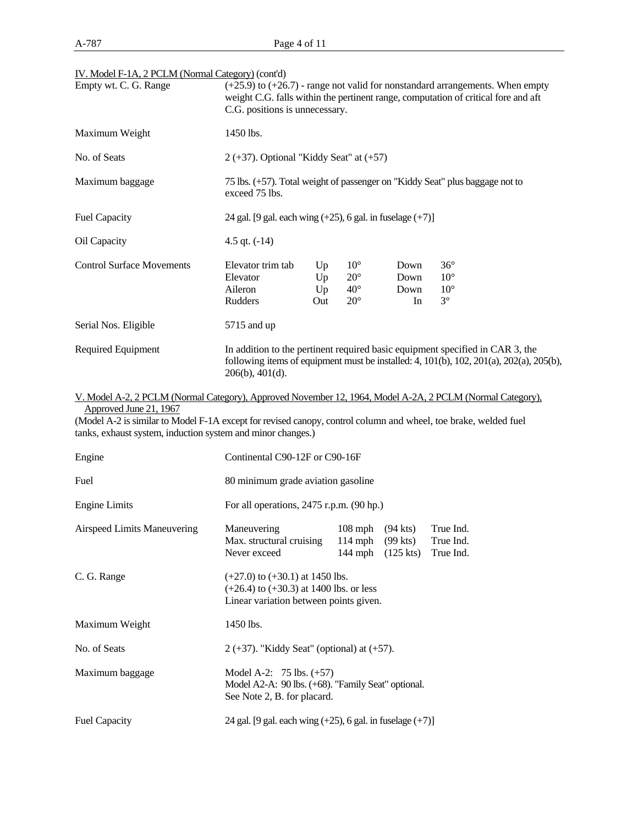| Empty wt. C. G. Range            | $(+25.9)$ to $(+26.7)$ - range not valid for nonstandard arrangements. When empty<br>weight C.G. falls within the pertinent range, computation of critical fore and aft<br>C.G. positions is unnecessary. |                       |                                                              |                            |                                                                                                                                                                                         |  |  |
|----------------------------------|-----------------------------------------------------------------------------------------------------------------------------------------------------------------------------------------------------------|-----------------------|--------------------------------------------------------------|----------------------------|-----------------------------------------------------------------------------------------------------------------------------------------------------------------------------------------|--|--|
| Maximum Weight                   | 1450 lbs.                                                                                                                                                                                                 |                       |                                                              |                            |                                                                                                                                                                                         |  |  |
| No. of Seats                     | $2 (+37)$ . Optional "Kiddy Seat" at $(+57)$                                                                                                                                                              |                       |                                                              |                            |                                                                                                                                                                                         |  |  |
| Maximum baggage                  | 75 lbs. (+57). Total weight of passenger on "Kiddy Seat" plus baggage not to<br>exceed 75 lbs.                                                                                                            |                       |                                                              |                            |                                                                                                                                                                                         |  |  |
| <b>Fuel Capacity</b>             | 24 gal. [9 gal. each wing $(+25)$ , 6 gal. in fuselage $(+7)$ ]                                                                                                                                           |                       |                                                              |                            |                                                                                                                                                                                         |  |  |
| Oil Capacity                     | 4.5 qt. $(-14)$                                                                                                                                                                                           |                       |                                                              |                            |                                                                                                                                                                                         |  |  |
| <b>Control Surface Movements</b> | Elevator trim tab<br>Elevator<br>Aileron<br>Rudders                                                                                                                                                       | Up<br>Up<br>Up<br>Out | $10^{\circ}$<br>$20^{\circ}$<br>$40^{\circ}$<br>$20^{\circ}$ | Down<br>Down<br>Down<br>In | $36^{\circ}$<br>$10^{\circ}$<br>$10^{\circ}$<br>$3^\circ$                                                                                                                               |  |  |
| Serial Nos. Eligible             | 5715 and up                                                                                                                                                                                               |                       |                                                              |                            |                                                                                                                                                                                         |  |  |
| <b>Required Equipment</b>        | $206(b)$ , $401(d)$ .                                                                                                                                                                                     |                       |                                                              |                            | In addition to the pertinent required basic equipment specified in CAR 3, the<br>following items of equipment must be installed: 4, $101(b)$ , $102$ , $201(a)$ , $202(a)$ , $205(b)$ , |  |  |

IV. Model F-1A, 2 PCLM (Normal Category) (cont'd)

V. Model A-2, 2 PCLM (Normal Category), Approved November 12, 1964, Model A-2A, 2 PCLM (Normal Category), Approved June 21, 1967

(Model A-2 is similar to Model F-1A except for revised canopy, control column and wheel, toe brake, welded fuel tanks, exhaust system, induction system and minor changes.)

| Engine                      | Continental C90-12F or C90-16F                                                                                               |           |                                                       |                                     |  |  |  |
|-----------------------------|------------------------------------------------------------------------------------------------------------------------------|-----------|-------------------------------------------------------|-------------------------------------|--|--|--|
| Fuel                        | 80 minimum grade aviation gasoline                                                                                           |           |                                                       |                                     |  |  |  |
| <b>Engine Limits</b>        | For all operations, $2475$ r.p.m. $(90$ hp.)                                                                                 |           |                                                       |                                     |  |  |  |
| Airspeed Limits Maneuvering | Maneuvering<br>Max. structural cruising<br>Never exceed                                                                      | $108$ mph | $(94$ kts)<br>114 mph $(99$ kts)<br>144 mph (125 kts) | True Ind.<br>True Ind.<br>True Ind. |  |  |  |
| C. G. Range                 | $(+27.0)$ to $(+30.1)$ at 1450 lbs.<br>$(+26.4)$ to $(+30.3)$ at 1400 lbs. or less<br>Linear variation between points given. |           |                                                       |                                     |  |  |  |
| Maximum Weight              | 1450 lbs.                                                                                                                    |           |                                                       |                                     |  |  |  |
| No. of Seats                | $2 (+37)$ . "Kiddy Seat" (optional) at $(+57)$ .                                                                             |           |                                                       |                                     |  |  |  |
| Maximum baggage             | Model A-2: $75 \text{ lbs. } (+57)$<br>Model A2-A: 90 lbs. (+68). "Family Seat" optional.<br>See Note 2, B. for placard.     |           |                                                       |                                     |  |  |  |
| <b>Fuel Capacity</b>        | 24 gal. [9 gal. each wing $(+25)$ , 6 gal. in fuselage $(+7)$ ]                                                              |           |                                                       |                                     |  |  |  |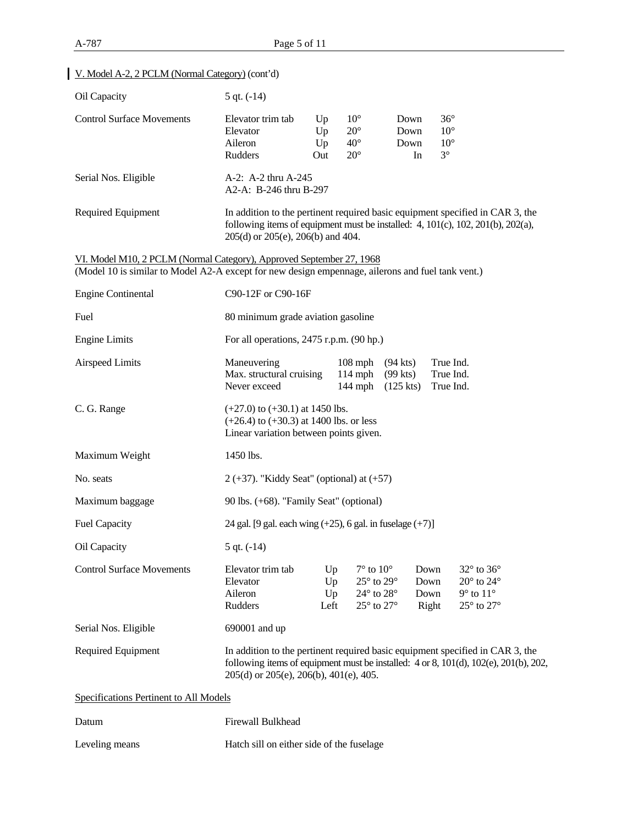# Oil Capacity 5 qt. (-14) Control Surface Movements Elevator trim tab Up 10° Down 36° Elevator Up  $20^{\circ}$  Down  $10^{\circ}$  Aileron Up 40° Down 10° Rudders Out  $20^{\circ}$  In  $3^{\circ}$ Serial Nos. Eligible  $A-2$ : A-2 thru A-245 A2-A: B-246 thru B-297 Required Equipment In addition to the pertinent required basic equipment specified in CAR 3, the following items of equipment must be installed: 4, 101(c), 102, 201(b), 202(a), 205(d) or 205(e), 206(b) and 404. VI. Model M10, 2 PCLM (Normal Category), Approved September 27, 1968 (Model 10 is similar to Model A2-A except for new design empennage, ailerons and fuel tank vent.) Engine Continental C90-12F or C90-16F Fuel 80 minimum grade aviation gasoline Engine Limits For all operations, 2475 r.p.m. (90 hp.) Airspeed Limits Maneuvering 108 mph (94 kts) True Ind. Max. structural cruising 114 mph (99 kts) True Ind. Never exceed 144 mph (125 kts) True Ind. C. G. Range  $(+27.0)$  to  $(+30.1)$  at 1450 lbs. (+26.4) to (+30.3) at 1400 lbs. or less Linear variation between points given. Maximum Weight 1450 lbs. No. seats  $2 (+37)$ . "Kiddy Seat" (optional) at  $(+57)$ Maximum baggage 90 lbs. (+68). "Family Seat" (optional) Fuel Capacity 24 gal.  $[9 \text{ gal. each wing } (+25), 6 \text{ gal. in fuselage } (+7)]$ Oil Capacity 5 qt. (-14) Control Surface Movements Elevator trim tab Up 7° to 10° Down 32° to 36° Elevator Up  $25^{\circ}$  to  $29^{\circ}$  Down  $20^{\circ}$  to  $24^{\circ}$ Aileron Up  $24^\circ$  to  $28^\circ$  Down  $9^\circ$  to  $11^\circ$ Rudders Left  $25^{\circ}$  to  $27^{\circ}$  Right  $25^{\circ}$  to  $27^{\circ}$ Serial Nos. Eligible 690001 and up Required Equipment In addition to the pertinent required basic equipment specified in CAR 3, the following items of equipment must be installed: 4 or 8, 101(d), 102(e), 201(b), 202, 205(d) or 205(e), 206(b), 401(e), 405. Specifications Pertinent to All Models Datum **Firewall Bulkhead**

Leveling means Hatch sill on either side of the fuselage

#### V. Model A-2, 2 PCLM (Normal Category) (cont'd)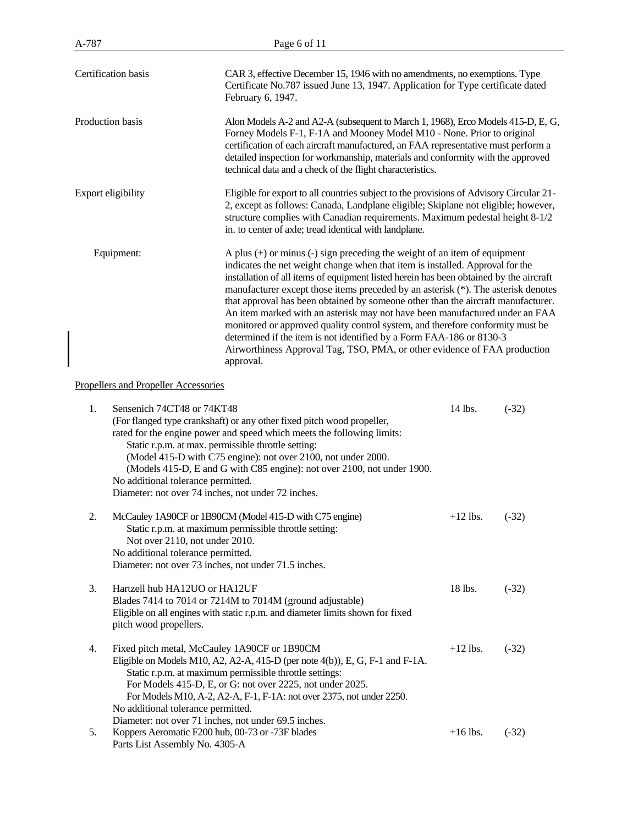| A-787               | Page 6 of 11                                                                                                                                                                                                                                                                                                                                                                                                                                                                                                                                                                                                                                                                                                                                                         |
|---------------------|----------------------------------------------------------------------------------------------------------------------------------------------------------------------------------------------------------------------------------------------------------------------------------------------------------------------------------------------------------------------------------------------------------------------------------------------------------------------------------------------------------------------------------------------------------------------------------------------------------------------------------------------------------------------------------------------------------------------------------------------------------------------|
| Certification basis | CAR 3, effective December 15, 1946 with no amendments, no exemptions. Type<br>Certificate No.787 issued June 13, 1947. Application for Type certificate dated<br>February 6, 1947.                                                                                                                                                                                                                                                                                                                                                                                                                                                                                                                                                                                   |
| Production basis    | Alon Models A-2 and A2-A (subsequent to March 1, 1968), Erco Models 415-D, E, G,<br>Forney Models F-1, F-1A and Mooney Model M10 - None. Prior to original<br>certification of each aircraft manufactured, an FAA representative must perform a<br>detailed inspection for workmanship, materials and conformity with the approved<br>technical data and a check of the flight characteristics.                                                                                                                                                                                                                                                                                                                                                                      |
| Export eligibility  | Eligible for export to all countries subject to the provisions of Advisory Circular 21-<br>2, except as follows: Canada, Landplane eligible; Skiplane not eligible; however,<br>structure complies with Canadian requirements. Maximum pedestal height 8-1/2<br>in. to center of axle; tread identical with landplane.                                                                                                                                                                                                                                                                                                                                                                                                                                               |
| Equipment:          | A plus $(+)$ or minus $(-)$ sign preceding the weight of an item of equipment<br>indicates the net weight change when that item is installed. Approval for the<br>installation of all items of equipment listed herein has been obtained by the aircraft<br>manufacturer except those items preceded by an asterisk (*). The asterisk denotes<br>that approval has been obtained by someone other than the aircraft manufacturer.<br>An item marked with an asterisk may not have been manufactured under an FAA<br>monitored or approved quality control system, and therefore conformity must be<br>determined if the item is not identified by a Form FAA-186 or 8130-3<br>Airworthiness Approval Tag, TSO, PMA, or other evidence of FAA production<br>approval. |

## Propellers and Propeller Accessories

| 1. | Sensenich 74CT48 or 74KT48<br>(For flanged type crankshaft) or any other fixed pitch wood propeller,<br>rated for the engine power and speed which meets the following limits:<br>Static r.p.m. at max. permissible throttle setting:<br>(Model 415-D with C75 engine): not over 2100, not under 2000.<br>(Models 415-D, E and G with C85 engine): not over 2100, not under 1900.<br>No additional tolerance permitted.<br>Diameter: not over 74 inches, not under 72 inches. | 14 lbs.    | $(-32)$ |
|----|-------------------------------------------------------------------------------------------------------------------------------------------------------------------------------------------------------------------------------------------------------------------------------------------------------------------------------------------------------------------------------------------------------------------------------------------------------------------------------|------------|---------|
| 2. | McCauley 1A90CF or 1B90CM (Model 415-D with C75 engine)<br>Static r.p.m. at maximum permissible throttle setting:<br>Not over 2110, not under 2010.<br>No additional tolerance permitted.<br>Diameter: not over 73 inches, not under 71.5 inches.                                                                                                                                                                                                                             | $+12$ lbs. | $(-32)$ |
| 3. | Hartzell hub HA12UO or HA12UF<br>Blades 7414 to 7014 or 7214M to 7014M (ground adjustable)<br>Eligible on all engines with static r.p.m. and diameter limits shown for fixed<br>pitch wood propellers.                                                                                                                                                                                                                                                                        | 18 lbs.    | $(-32)$ |
| 4. | Fixed pitch metal, McCauley 1A90CF or 1B90CM<br>Eligible on Models M10, A2, A2-A, 415-D (per note 4(b)), E, G, F-1 and F-1A.<br>Static r.p.m. at maximum permissible throttle settings:<br>For Models 415-D, E, or G: not over 2225, not under 2025.<br>For Models M10, A-2, A2-A, F-1, F-1A: not over 2375, not under 2250.<br>No additional tolerance permitted.<br>Diameter: not over 71 inches, not under 69.5 inches.                                                    | $+12$ lbs. | $(-32)$ |
| 5. | Koppers Aeromatic F200 hub, 00-73 or -73F blades<br>Parts List Assembly No. 4305-A                                                                                                                                                                                                                                                                                                                                                                                            | $+16$ lbs. | $(-32)$ |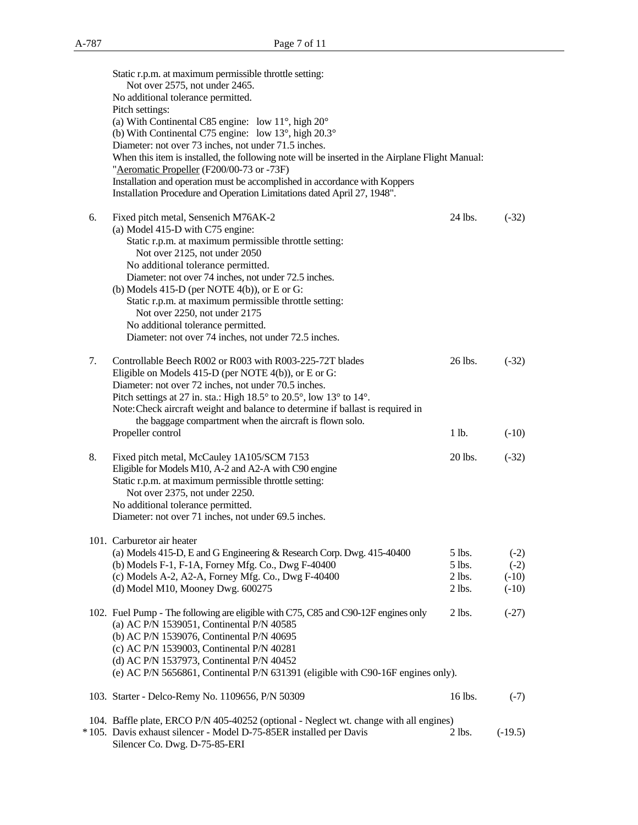|    | Static r.p.m. at maximum permissible throttle setting:<br>Not over 2575, not under 2465.                                        |                    |                   |
|----|---------------------------------------------------------------------------------------------------------------------------------|--------------------|-------------------|
|    | No additional tolerance permitted.                                                                                              |                    |                   |
|    | Pitch settings:                                                                                                                 |                    |                   |
|    | (a) With Continental C85 engine: low $11^\circ$ , high $20^\circ$                                                               |                    |                   |
|    | (b) With Continental C75 engine: low $13^{\circ}$ , high $20.3^{\circ}$<br>Diameter: not over 73 inches, not under 71.5 inches. |                    |                   |
|    | When this item is installed, the following note will be inserted in the Airplane Flight Manual:                                 |                    |                   |
|    | "Aeromatic Propeller (F200/00-73 or -73F)                                                                                       |                    |                   |
|    | Installation and operation must be accomplished in accordance with Koppers                                                      |                    |                   |
|    | Installation Procedure and Operation Limitations dated April 27, 1948".                                                         |                    |                   |
| 6. | Fixed pitch metal, Sensenich M76AK-2                                                                                            | 24 lbs.            | $(-32)$           |
|    | (a) Model 415-D with C75 engine:                                                                                                |                    |                   |
|    | Static r.p.m. at maximum permissible throttle setting:                                                                          |                    |                   |
|    | Not over 2125, not under 2050<br>No additional tolerance permitted.                                                             |                    |                   |
|    | Diameter: not over 74 inches, not under 72.5 inches.                                                                            |                    |                   |
|    | (b) Models $415-D$ (per NOTE $4(b)$ ), or E or G:                                                                               |                    |                   |
|    | Static r.p.m. at maximum permissible throttle setting:                                                                          |                    |                   |
|    | Not over 2250, not under 2175                                                                                                   |                    |                   |
|    | No additional tolerance permitted.                                                                                              |                    |                   |
|    | Diameter: not over 74 inches, not under 72.5 inches.                                                                            |                    |                   |
| 7. | Controllable Beech R002 or R003 with R003-225-72T blades                                                                        | 26 lbs.            | $(-32)$           |
|    | Eligible on Models 415-D (per NOTE 4(b)), or E or G:                                                                            |                    |                   |
|    | Diameter: not over 72 inches, not under 70.5 inches.                                                                            |                    |                   |
|    | Pitch settings at 27 in. sta.: High 18.5° to 20.5°, low 13° to 14°.                                                             |                    |                   |
|    | Note: Check aircraft weight and balance to determine if ballast is required in                                                  |                    |                   |
|    | the baggage compartment when the aircraft is flown solo.<br>Propeller control                                                   | 1 lb.              | $(-10)$           |
|    |                                                                                                                                 |                    |                   |
| 8. | Fixed pitch metal, McCauley 1A105/SCM 7153                                                                                      | 20 lbs.            | $(-32)$           |
|    | Eligible for Models M10, A-2 and A2-A with C90 engine                                                                           |                    |                   |
|    | Static r.p.m. at maximum permissible throttle setting:                                                                          |                    |                   |
|    | Not over 2375, not under 2250.                                                                                                  |                    |                   |
|    | No additional tolerance permitted.<br>Diameter: not over 71 inches, not under 69.5 inches.                                      |                    |                   |
|    |                                                                                                                                 |                    |                   |
|    | 101. Carburetor air heater                                                                                                      |                    |                   |
|    | (a) Models 415-D, E and G Engineering & Research Corp. Dwg. 415-40400                                                           | 5 lbs.             | $(-2)$            |
|    | (b) Models F-1, F-1A, Forney Mfg. Co., Dwg F-40400<br>(c) Models A-2, A2-A, Forney Mfg. Co., Dwg F-40400                        | 5 lbs.<br>$2$ lbs. | $(-2)$<br>$(-10)$ |
|    | (d) Model M10, Mooney Dwg. 600275                                                                                               | $2$ lbs.           | $(-10)$           |
|    |                                                                                                                                 |                    |                   |
|    | 102. Fuel Pump - The following are eligible with C75, C85 and C90-12F engines only                                              | $2$ lbs.           | $(-27)$           |
|    | (a) AC P/N 1539051, Continental P/N 40585                                                                                       |                    |                   |
|    | (b) AC P/N 1539076, Continental P/N 40695                                                                                       |                    |                   |
|    | (c) AC P/N 1539003, Continental P/N 40281<br>(d) AC P/N 1537973, Continental P/N 40452                                          |                    |                   |
|    | (e) AC P/N 5656861, Continental P/N 631391 (eligible with C90-16F engines only).                                                |                    |                   |
|    | 103. Starter - Delco-Remy No. 1109656, P/N 50309                                                                                | 16 lbs.            | $(-7)$            |
|    | 104. Baffle plate, ERCO P/N 405-40252 (optional - Neglect wt. change with all engines)                                          |                    |                   |
|    | *105. Davis exhaust silencer - Model D-75-85ER installed per Davis                                                              | $2$ lbs.           | $(-19.5)$         |
|    | Silencer Co. Dwg. D-75-85-ERI                                                                                                   |                    |                   |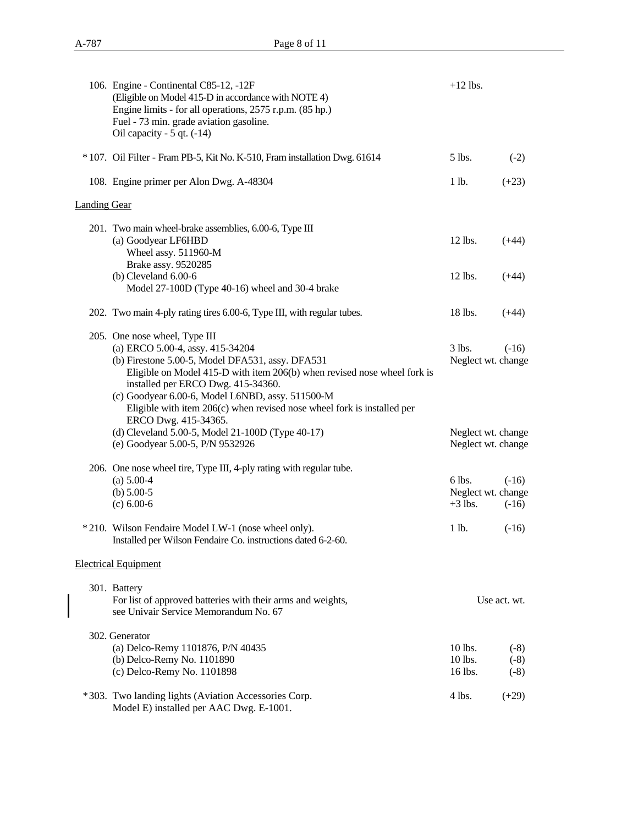|                     | 106. Engine - Continental C85-12, -12F<br>(Eligible on Model 415-D in accordance with NOTE 4)<br>Engine limits - for all operations, 2575 r.p.m. (85 hp.)<br>Fuel - 73 min. grade aviation gasoline.<br>Oil capacity - $5$ qt. $(-14)$                                                                                                                                   | $+12$ lbs.                                |                            |
|---------------------|--------------------------------------------------------------------------------------------------------------------------------------------------------------------------------------------------------------------------------------------------------------------------------------------------------------------------------------------------------------------------|-------------------------------------------|----------------------------|
|                     | * 107. Oil Filter - Fram PB-5, Kit No. K-510, Fram installation Dwg. 61614                                                                                                                                                                                                                                                                                               | 5 lbs.                                    | $(-2)$                     |
|                     | 108. Engine primer per Alon Dwg. A-48304                                                                                                                                                                                                                                                                                                                                 | 1 lb.                                     | $(+23)$                    |
| <b>Landing Gear</b> |                                                                                                                                                                                                                                                                                                                                                                          |                                           |                            |
|                     | 201. Two main wheel-brake assemblies, 6.00-6, Type III<br>(a) Goodyear LF6HBD<br>Wheel assy. 511960-M<br>Brake assy. 9520285                                                                                                                                                                                                                                             | 12 lbs.                                   | $(+44)$                    |
|                     | $(b)$ Cleveland $6.00-6$<br>Model 27-100D (Type 40-16) wheel and 30-4 brake                                                                                                                                                                                                                                                                                              | $12$ lbs.                                 | $(+44)$                    |
|                     | 202. Two main 4-ply rating tires 6.00-6, Type III, with regular tubes.                                                                                                                                                                                                                                                                                                   | 18 lbs.                                   | $(+44)$                    |
|                     | 205. One nose wheel, Type III<br>(a) ERCO 5.00-4, assy. 415-34204<br>(b) Firestone 5.00-5, Model DFA531, assy. DFA531<br>Eligible on Model 415-D with item 206(b) when revised nose wheel fork is<br>installed per ERCO Dwg. 415-34360.<br>(c) Goodyear 6.00-6, Model L6NBD, assy. 511500-M<br>Eligible with item $206(c)$ when revised nose wheel fork is installed per | $3$ lbs.<br>Neglect wt. change            | $(-16)$                    |
|                     | ERCO Dwg. 415-34365.<br>(d) Cleveland 5.00-5, Model 21-100D (Type 40-17)<br>(e) Goodyear 5.00-5, P/N 9532926                                                                                                                                                                                                                                                             | Neglect wt. change<br>Neglect wt. change  |                            |
|                     | 206. One nose wheel tire, Type III, 4-ply rating with regular tube.<br>$(a) 5.00-4$<br>(b) $5.00-5$<br>$(c) 6.00-6$                                                                                                                                                                                                                                                      | 6 lbs.<br>Neglect wt. change<br>$+3$ lbs. | $(-16)$<br>$(-16)$         |
|                     | *210. Wilson Fendaire Model LW-1 (nose wheel only).<br>Installed per Wilson Fendaire Co. instructions dated 6-2-60.                                                                                                                                                                                                                                                      | 1 lb.                                     | $(-16)$                    |
|                     | <b>Electrical Equipment</b>                                                                                                                                                                                                                                                                                                                                              |                                           |                            |
|                     | 301. Battery<br>For list of approved batteries with their arms and weights,<br>see Univair Service Memorandum No. 67                                                                                                                                                                                                                                                     |                                           | Use act. wt.               |
|                     | 302. Generator<br>(a) Delco-Remy 1101876, P/N 40435<br>(b) Delco-Remy No. 1101890<br>(c) Delco-Remy No. 1101898                                                                                                                                                                                                                                                          | 10 lbs.<br>10 lbs.<br>16 lbs.             | $(-8)$<br>$(-8)$<br>$(-8)$ |
|                     | *303. Two landing lights (Aviation Accessories Corp.<br>Model E) installed per AAC Dwg. E-1001.                                                                                                                                                                                                                                                                          | $4$ lbs.                                  | $(+29)$                    |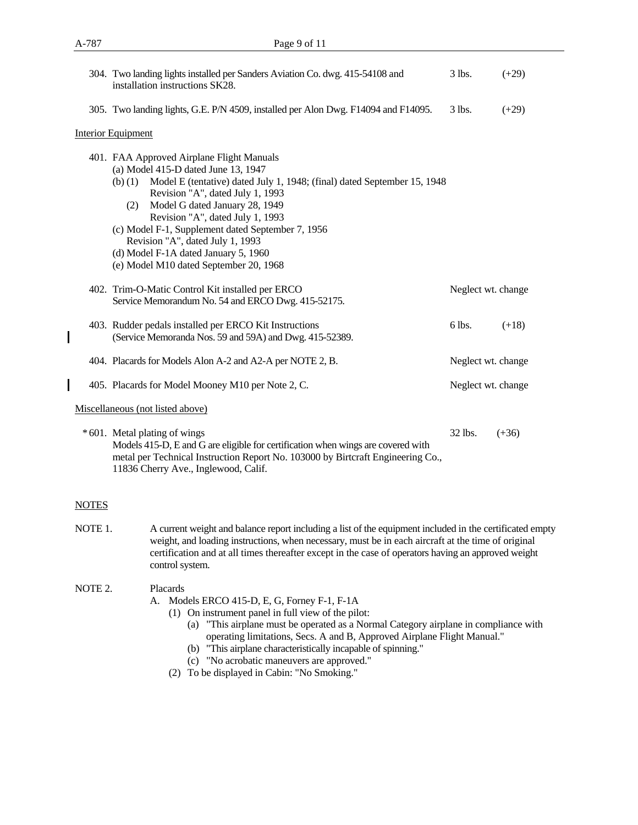|              | 304. Two landing lights installed per Sanders Aviation Co. dwg. 415-54108 and<br>installation instructions SK28.                                                                                                                                                                                                                                                                                                                                                    | 3 lbs.             | $(+29)$ |
|--------------|---------------------------------------------------------------------------------------------------------------------------------------------------------------------------------------------------------------------------------------------------------------------------------------------------------------------------------------------------------------------------------------------------------------------------------------------------------------------|--------------------|---------|
|              | 305. Two landing lights, G.E. P/N 4509, installed per Alon Dwg. F14094 and F14095.                                                                                                                                                                                                                                                                                                                                                                                  | 3 lbs.             | $(+29)$ |
|              | <b>Interior Equipment</b>                                                                                                                                                                                                                                                                                                                                                                                                                                           |                    |         |
|              | 401. FAA Approved Airplane Flight Manuals<br>(a) Model 415-D dated June 13, 1947<br>Model E (tentative) dated July 1, 1948; (final) dated September 15, 1948<br>(b) (1)<br>Revision "A", dated July 1, 1993<br>Model G dated January 28, 1949<br>(2)<br>Revision "A", dated July 1, 1993<br>(c) Model F-1, Supplement dated September 7, 1956<br>Revision "A", dated July 1, 1993<br>(d) Model F-1A dated January 5, 1960<br>(e) Model M10 dated September 20, 1968 |                    |         |
|              | 402. Trim-O-Matic Control Kit installed per ERCO<br>Service Memorandum No. 54 and ERCO Dwg. 415-52175.                                                                                                                                                                                                                                                                                                                                                              | Neglect wt. change |         |
|              | 403. Rudder pedals installed per ERCO Kit Instructions<br>(Service Memoranda Nos. 59 and 59A) and Dwg. 415-52389.                                                                                                                                                                                                                                                                                                                                                   | 6 lbs.             | $(+18)$ |
|              | 404. Placards for Models Alon A-2 and A2-A per NOTE 2, B.                                                                                                                                                                                                                                                                                                                                                                                                           | Neglect wt. change |         |
|              | 405. Placards for Model Mooney M10 per Note 2, C.                                                                                                                                                                                                                                                                                                                                                                                                                   | Neglect wt. change |         |
|              | Miscellaneous (not listed above)                                                                                                                                                                                                                                                                                                                                                                                                                                    |                    |         |
|              | *601. Metal plating of wings<br>Models 415-D, E and G are eligible for certification when wings are covered with<br>metal per Technical Instruction Report No. 103000 by Birtcraft Engineering Co.,<br>11836 Cherry Ave., Inglewood, Calif.                                                                                                                                                                                                                         | 32 lbs.            | $(+36)$ |
| <b>NOTES</b> |                                                                                                                                                                                                                                                                                                                                                                                                                                                                     |                    |         |

NOTE 1. A current weight and balance report including a list of the equipment included in the certificated empty weight, and loading instructions, when necessary, must be in each aircraft at the time of original certification and at all times thereafter except in the case of operators having an approved weight control system.

## NOTE 2. Placards

- A. Models ERCO 415-D, E, G, Forney F-1, F-1A
	- (1) On instrument panel in full view of the pilot:
		- (a) "This airplane must be operated as a Normal Category airplane in compliance with operating limitations, Secs. A and B, Approved Airplane Flight Manual."
		- (b) "This airplane characteristically incapable of spinning."
		- (c) "No acrobatic maneuvers are approved."
	- (2) To be displayed in Cabin: "No Smoking."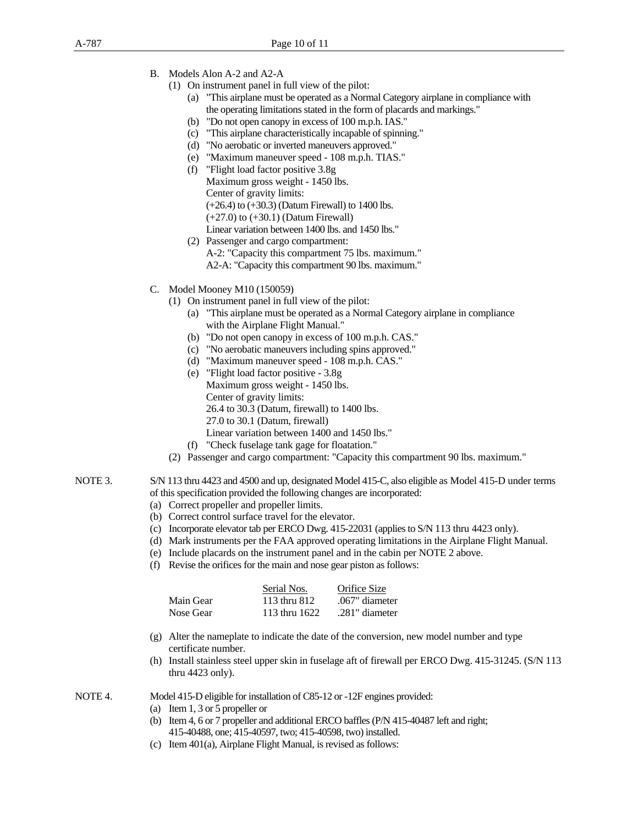- B. Models Alon A-2 and A2-A
	- (1) On instrument panel in full view of the pilot:
		- (a) "This airplane must be operated as a Normal Category airplane in compliance with the operating limitations stated in the form of placards and markings."
		- (b) "Do not open canopy in excess of 100 m.p.h. IAS."
		- (c) "This airplane characteristically incapable of spinning."
		- (d) "No aerobatic or inverted maneuvers approved."
		- (e) "Maximum maneuver speed 108 m.p.h. TIAS."
		- (f) "Flight load factor positive 3.8g Maximum gross weight - 1450 lbs. Center of gravity limits: (+26.4) to (+30.3) (Datum Firewall) to 1400 lbs. (+27.0) to (+30.1) (Datum Firewall) Linear variation between 1400 lbs. and 1450 lbs."
		- (2) Passenger and cargo compartment: A-2: "Capacity this compartment 75 lbs. maximum." A2-A: "Capacity this compartment 90 lbs. maximum."
- C. Model Mooney M10 (150059)
	- (1) On instrument panel in full view of the pilot:
		- (a) "This airplane must be operated as a Normal Category airplane in compliance with the Airplane Flight Manual."
		- (b) "Do not open canopy in excess of 100 m.p.h. CAS."
		- (c) "No aerobatic maneuvers including spins approved."
		- (d) "Maximum maneuver speed 108 m.p.h. CAS."
		- (e) "Flight load factor positive 3.8g Maximum gross weight - 1450 lbs. Center of gravity limits: 26.4 to 30.3 (Datum, firewall) to 1400 lbs. 27.0 to 30.1 (Datum, firewall) Linear variation between 1400 and 1450 lbs."
		- (f) "Check fuselage tank gage for floatation."
	- (2) Passenger and cargo compartment: "Capacity this compartment 90 lbs. maximum."
- NOTE 3. S/N 113 thru 4423 and 4500 and up, designated Model 415-C, also eligible as Model 415-D under terms of this specification provided the following changes are incorporated:
	- (a) Correct propeller and propeller limits.
	- (b) Correct control surface travel for the elevator.
	- (c) Incorporate elevator tab per ERCO Dwg. 415-22031 (applies to S/N 113 thru 4423 only).
	- (d) Mark instruments per the FAA approved operating limitations in the Airplane Flight Manual.
	- (e) Include placards on the instrument panel and in the cabin per NOTE 2 above.
	- (f) Revise the orifices for the main and nose gear piston as follows:

|           | Serial Nos.   | Orifice Size   |
|-----------|---------------|----------------|
| Main Gear | 113 thru 812  | .067" diameter |
| Nose Gear | 113 thru 1622 | .281" diameter |

- (g) Alter the nameplate to indicate the date of the conversion, new model number and type certificate number.
- (h) Install stainless steel upper skin in fuselage aft of firewall per ERCO Dwg. 415-31245. (S/N 113 thru 4423 only).

NOTE 4. Model 415-D eligible for installation of C85-12 or -12F engines provided:

- (a) Item 1, 3 or 5 propeller or
- (b) Item 4, 6 or 7 propeller and additional ERCO baffles (P/N 415-40487 left and right; 415-40488, one; 415-40597, two; 415-40598, two) installed.
- (c) Item 401(a), Airplane Flight Manual, is revised as follows: